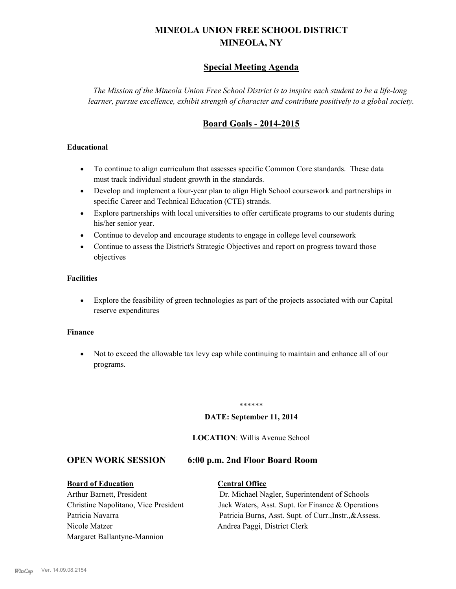# **MINEOLA UNION FREE SCHOOL DISTRICT MINEOLA, NY**

# **Special Meeting Agenda**

*The Mission of the Mineola Union Free School District is to inspire each student to be a life-long learner, pursue excellence, exhibit strength of character and contribute positively to a global society.*

# **Board Goals - 2014-2015**

# **Educational**

- · To continue to align curriculum that assesses specific Common Core standards. These data must track individual student growth in the standards.
- · Develop and implement a four-year plan to align High School coursework and partnerships in specific Career and Technical Education (CTE) strands.
- · Explore partnerships with local universities to offer certificate programs to our students during his/her senior year.
- · Continue to develop and encourage students to engage in college level coursework
- Continue to assess the District's Strategic Objectives and report on progress toward those objectives

# **Facilities**

· Explore the feasibility of green technologies as part of the projects associated with our Capital reserve expenditures

## **Finance**

· Not to exceed the allowable tax levy cap while continuing to maintain and enhance all of our programs.

### \*\*\*\*\*\*

## **DATE: September 11, 2014**

# **LOCATION**: Willis Avenue School

# **OPEN WORK SESSION 6:00 p.m. 2nd Floor Board Room**

## **Board of Education Central Office**

Nicole Matzer Andrea Paggi, District Clerk Margaret Ballantyne-Mannion

Arthur Barnett, President Dr. Michael Nagler, Superintendent of Schools Christine Napolitano, Vice President Jack Waters, Asst. Supt. for Finance & Operations Patricia Navarra Patricia Burns, Asst. Supt. of Curr., Instr., &Assess.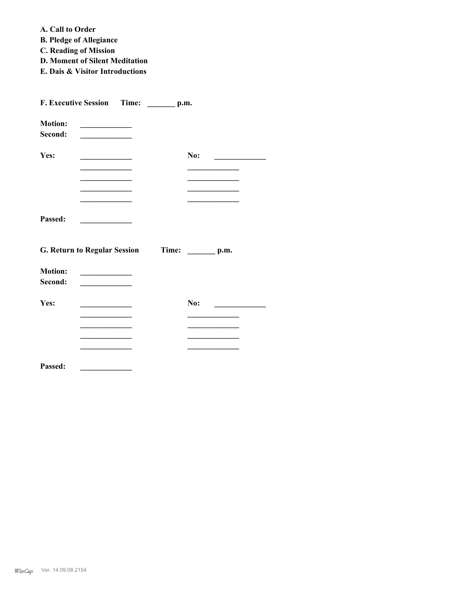**A. Call to Order** 

**B. Pledge of Allegiance**

- **C. Reading of Mission**
- **D. Moment of Silent Meditation**
- **E. Dais & Visitor Introductions**

| F. Executive Session      | Time:                                                                                                                 | p.m.                                         |
|---------------------------|-----------------------------------------------------------------------------------------------------------------------|----------------------------------------------|
| <b>Motion:</b><br>Second: | <u> 1990 - Johann Barbara, martxa a</u>                                                                               |                                              |
| Yes:                      | <u> 1980 - Johann John Stone, markin amerikan bisa di sebagai pertama dan bagi pertama dan bagi pertama dan bagi </u> | No:                                          |
|                           | <u> 1989 - Johann Stoff, fransk politiker (</u>                                                                       | the control of the control of the control of |
| Passed:                   |                                                                                                                       |                                              |
|                           | <b>G. Return to Regular Session</b>                                                                                   | Time: ________ p.m.                          |
| <b>Motion:</b><br>Second: |                                                                                                                       |                                              |
| Yes:                      |                                                                                                                       | No:                                          |
|                           |                                                                                                                       |                                              |
|                           |                                                                                                                       |                                              |
| Passed:                   |                                                                                                                       |                                              |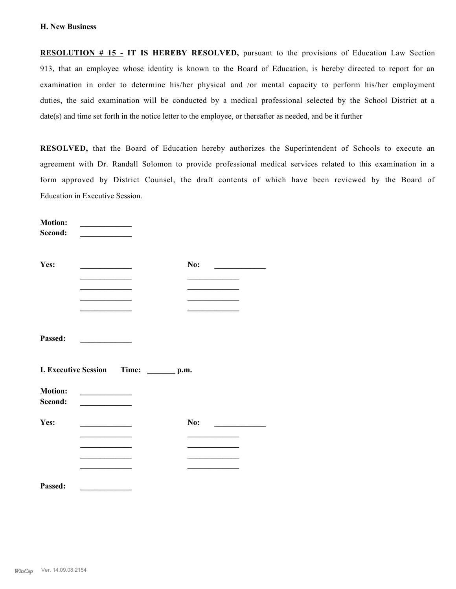**RESOLUTION # 15 - IT IS HEREBY RESOLVED,** pursuant to the provisions of Education Law Section 913, that an employee whose identity is known to the Board of Education, is hereby directed to report for an examination in order to determine his/her physical and /or mental capacity to perform his/her employment duties, the said examination will be conducted by a medical professional selected by the School District at a date(s) and time set forth in the notice letter to the employee, or thereafter as needed, and be it further

**RESOLVED,** that the Board of Education hereby authorizes the Superintendent of Schools to execute an agreement with Dr. Randall Solomon to provide professional medical services related to this examination in a form approved by District Counsel, the draft contents of which have been reviewed by the Board of Education in Executive Session.

| the control of the control of the control of |                                                     | No:<br>$\sim$                          |
|----------------------------------------------|-----------------------------------------------------|----------------------------------------|
| the control of the control of the control of |                                                     | the control of the control of the con- |
|                                              |                                                     |                                        |
|                                              |                                                     |                                        |
|                                              |                                                     |                                        |
|                                              |                                                     |                                        |
|                                              |                                                     |                                        |
|                                              | $\rule{1em}{0.05em}$ p.m.                           |                                        |
|                                              |                                                     |                                        |
|                                              |                                                     |                                        |
|                                              |                                                     |                                        |
|                                              |                                                     | No:                                    |
|                                              |                                                     |                                        |
|                                              |                                                     |                                        |
|                                              |                                                     |                                        |
|                                              |                                                     |                                        |
|                                              | <u> 1989 - Andrea Station Barbara, amerikan per</u> | <b>I. Executive Session Time:</b>      |